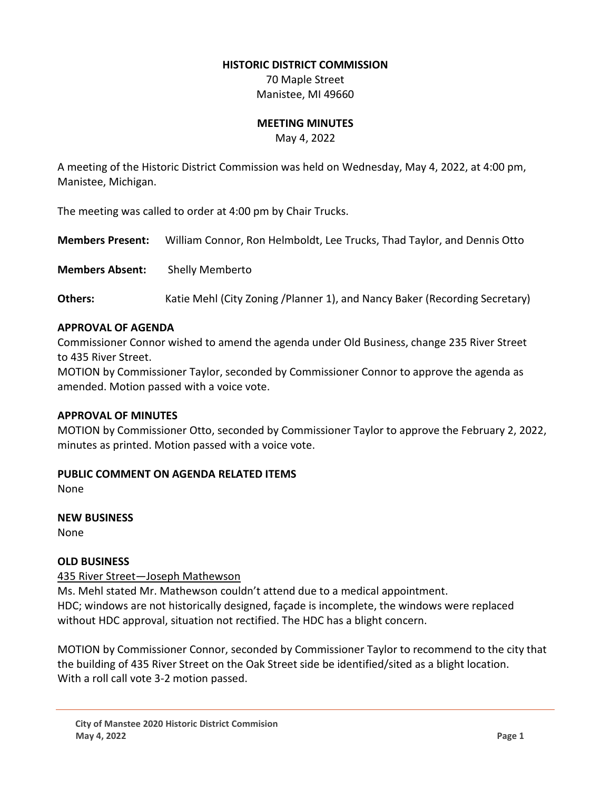#### **HISTORIC DISTRICT COMMISSION**

70 Maple Street Manistee, MI 49660

#### **MEETING MINUTES**

May 4, 2022

A meeting of the Historic District Commission was held on Wednesday, May 4, 2022, at 4:00 pm, Manistee, Michigan.

The meeting was called to order at 4:00 pm by Chair Trucks.

**Members Present:** William Connor, Ron Helmboldt, Lee Trucks, Thad Taylor, and Dennis Otto

**Members Absent:** Shelly Memberto

**Others:** Katie Mehl (City Zoning /Planner 1), and Nancy Baker (Recording Secretary)

### **APPROVAL OF AGENDA**

Commissioner Connor wished to amend the agenda under Old Business, change 235 River Street to 435 River Street.

MOTION by Commissioner Taylor, seconded by Commissioner Connor to approve the agenda as amended. Motion passed with a voice vote.

#### **APPROVAL OF MINUTES**

MOTION by Commissioner Otto, seconded by Commissioner Taylor to approve the February 2, 2022, minutes as printed. Motion passed with a voice vote.

### **PUBLIC COMMENT ON AGENDA RELATED ITEMS**

None

# **NEW BUSINESS**

None

### **OLD BUSINESS**

### 435 River Street—Joseph Mathewson

Ms. Mehl stated Mr. Mathewson couldn't attend due to a medical appointment. HDC; windows are not historically designed, façade is incomplete, the windows were replaced without HDC approval, situation not rectified. The HDC has a blight concern.

MOTION by Commissioner Connor, seconded by Commissioner Taylor to recommend to the city that the building of 435 River Street on the Oak Street side be identified/sited as a blight location. With a roll call vote 3-2 motion passed.